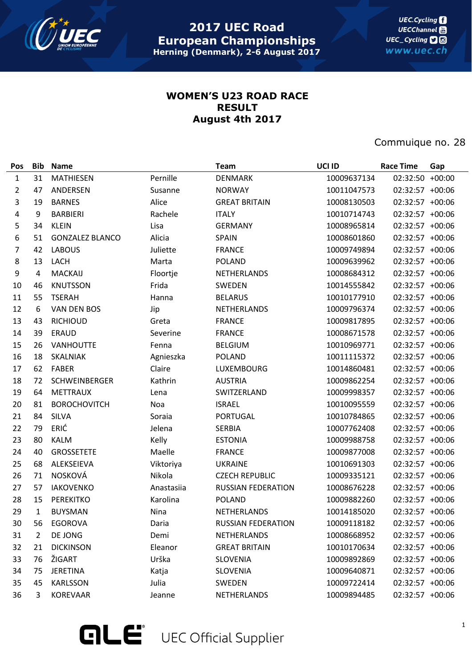

**UEC.Cycling UECChannel** UEC\_Cycling **D** www.uec.ch

## **WOMEN'S U23 ROAD RACE RESULT August 4th 2017**

Commuique no. 28

| Pos            | <b>Bib</b>   | <b>Name</b>            |            | <b>Team</b>               | UCI ID      | <b>Race Time</b> | Gap      |
|----------------|--------------|------------------------|------------|---------------------------|-------------|------------------|----------|
| $\mathbf{1}$   | 31           | <b>MATHIESEN</b>       | Pernille   | <b>DENMARK</b>            | 10009637134 | 02:32:50         | $+00:00$ |
| $\overline{2}$ | 47           | ANDERSEN               | Susanne    | <b>NORWAY</b>             | 10011047573 | 02:32:57 +00:06  |          |
| 3              | 19           | <b>BARNES</b>          | Alice      | <b>GREAT BRITAIN</b>      | 10008130503 | 02:32:57 +00:06  |          |
| 4              | 9            | <b>BARBIERI</b>        | Rachele    | <b>ITALY</b>              | 10010714743 | 02:32:57 +00:06  |          |
| 5              | 34           | <b>KLEIN</b>           | Lisa       | <b>GERMANY</b>            | 10008965814 | 02:32:57 +00:06  |          |
| 6              | 51           | <b>GONZALEZ BLANCO</b> | Alicia     | <b>SPAIN</b>              | 10008601860 | 02:32:57 +00:06  |          |
| 7              | 42           | <b>LABOUS</b>          | Juliette   | <b>FRANCE</b>             | 10009749894 | 02:32:57 +00:06  |          |
| 8              | 13           | LACH                   | Marta      | <b>POLAND</b>             | 10009639962 | 02:32:57 +00:06  |          |
| 9              | 4            | <b>MACKAIJ</b>         | Floortje   | NETHERLANDS               | 10008684312 | 02:32:57 +00:06  |          |
| 10             | 46           | <b>KNUTSSON</b>        | Frida      | SWEDEN                    | 10014555842 | 02:32:57 +00:06  |          |
| 11             | 55           | <b>TSERAH</b>          | Hanna      | <b>BELARUS</b>            | 10010177910 | 02:32:57 +00:06  |          |
| 12             | 6            | VAN DEN BOS            | Jip        | NETHERLANDS               | 10009796374 | 02:32:57 +00:06  |          |
| 13             | 43           | <b>RICHIOUD</b>        | Greta      | <b>FRANCE</b>             | 10009817895 | 02:32:57 +00:06  |          |
| 14             | 39           | <b>ERAUD</b>           | Severine   | <b>FRANCE</b>             | 10008671578 | 02:32:57 +00:06  |          |
| 15             | 26           | <b>VANHOUTTE</b>       | Fenna      | <b>BELGIUM</b>            | 10010969771 | 02:32:57 +00:06  |          |
| 16             | 18           | <b>SKALNIAK</b>        | Agnieszka  | <b>POLAND</b>             | 10011115372 | 02:32:57 +00:06  |          |
| 17             | 62           | <b>FABER</b>           | Claire     | LUXEMBOURG                | 10014860481 | 02:32:57 +00:06  |          |
| 18             | 72           | SCHWEINBERGER          | Kathrin    | <b>AUSTRIA</b>            | 10009862254 | 02:32:57 +00:06  |          |
| 19             | 64           | METTRAUX               | Lena       | SWITZERLAND               | 10009998357 | 02:32:57 +00:06  |          |
| 20             | 81           | <b>BOROCHOVITCH</b>    | Noa        | <b>ISRAEL</b>             | 10010095559 | 02:32:57 +00:06  |          |
| 21             | 84           | <b>SILVA</b>           | Soraia     | <b>PORTUGAL</b>           | 10010784865 | 02:32:57 +00:06  |          |
| 22             | 79           | ERIĆ                   | Jelena     | <b>SERBIA</b>             | 10007762408 | 02:32:57 +00:06  |          |
| 23             | 80           | <b>KALM</b>            | Kelly      | <b>ESTONIA</b>            | 10009988758 | 02:32:57 +00:06  |          |
| 24             | 40           | <b>GROSSETETE</b>      | Maelle     | <b>FRANCE</b>             | 10009877008 | 02:32:57 +00:06  |          |
| 25             | 68           | ALEKSEIEVA             | Viktoriya  | <b>UKRAINE</b>            | 10010691303 | 02:32:57 +00:06  |          |
| 26             | 71           | <b>NOSKOVÁ</b>         | Nikola     | <b>CZECH REPUBLIC</b>     | 10009335121 | 02:32:57 +00:06  |          |
| 27             | 57           | <b>IAKOVENKO</b>       | Anastasiia | <b>RUSSIAN FEDERATION</b> | 10008676228 | 02:32:57 +00:06  |          |
| 28             | 15           | <b>PEREKITKO</b>       | Karolina   | <b>POLAND</b>             | 10009882260 | 02:32:57 +00:06  |          |
| 29             | $\mathbf{1}$ | <b>BUYSMAN</b>         | Nina       | NETHERLANDS               | 10014185020 | 02:32:57 +00:06  |          |
| 30             | 56           | EGOROVA                | Daria      | <b>RUSSIAN FEDERATION</b> | 10009118182 | 02:32:57 +00:06  |          |
| 31             | 2            | DE JONG                | Demi       | NETHERLANDS               | 10008668952 | 02:32:57 +00:06  |          |
| 32             | 21           | <b>DICKINSON</b>       | Eleanor    | <b>GREAT BRITAIN</b>      | 10010170634 | 02:32:57 +00:06  |          |
| 33             | 76           | ŽIGART                 | Urška      | <b>SLOVENIA</b>           | 10009892869 | 02:32:57 +00:06  |          |
| 34             | 75           | JERETINA               | Katja      | <b>SLOVENIA</b>           | 10009640871 | 02:32:57 +00:06  |          |
| 35             | 45           | <b>KARLSSON</b>        | Julia      | SWEDEN                    | 10009722414 | 02:32:57 +00:06  |          |
| 36             | 3            | <b>KOREVAAR</b>        | Jeanne     | NETHERLANDS               | 10009894485 | 02:32:57 +00:06  |          |

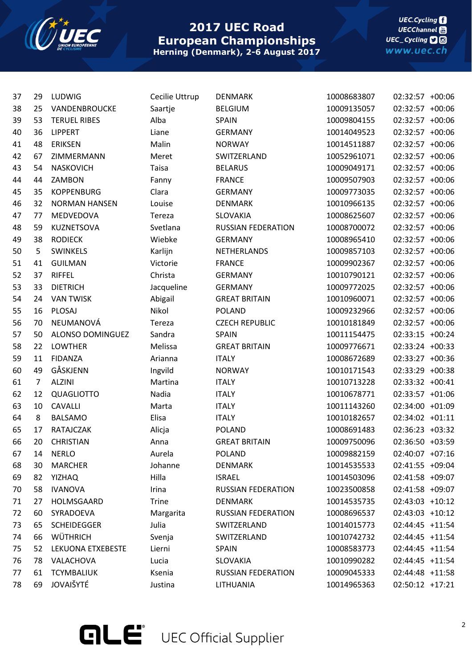

## **2017 UEC Road European Championships Herning (Denmark), 2-6 August 2017**

**UEC.Cycling** UECChannel<br>UEC\_Cycling **D** www.uec.ch

| 37 | 29             | LUDWIG               | Cecilie Uttrup | <b>DENMARK</b>            | 10008683807 | 02:32:57 +00:06 |  |
|----|----------------|----------------------|----------------|---------------------------|-------------|-----------------|--|
| 38 | 25             | VANDENBROUCKE        | Saartje        | <b>BELGIUM</b>            | 10009135057 | 02:32:57 +00:06 |  |
| 39 | 53             | <b>TERUEL RIBES</b>  | Alba           | <b>SPAIN</b>              | 10009804155 | 02:32:57 +00:06 |  |
| 40 | 36             | <b>LIPPERT</b>       | Liane          | <b>GERMANY</b>            | 10014049523 | 02:32:57 +00:06 |  |
| 41 | 48             | <b>ERIKSEN</b>       | Malin          | <b>NORWAY</b>             | 10014511887 | 02:32:57 +00:06 |  |
| 42 | 67             | ZIMMERMANN           | Meret          | SWITZERLAND               | 10052961071 | 02:32:57 +00:06 |  |
| 43 | 54             | <b>NASKOVICH</b>     | <b>Taisa</b>   | <b>BELARUS</b>            | 10009049171 | 02:32:57 +00:06 |  |
| 44 | 44             | ZAMBON               | Fanny          | <b>FRANCE</b>             | 10009507903 | 02:32:57 +00:06 |  |
| 45 | 35             | <b>KOPPENBURG</b>    | Clara          | <b>GERMANY</b>            | 10009773035 | 02:32:57 +00:06 |  |
| 46 | 32             | <b>NORMAN HANSEN</b> | Louise         | <b>DENMARK</b>            | 10010966135 | 02:32:57 +00:06 |  |
| 47 | 77             | MEDVEDOVA            | Tereza         | SLOVAKIA                  | 10008625607 | 02:32:57 +00:06 |  |
| 48 | 59             | KUZNETSOVA           | Svetlana       | <b>RUSSIAN FEDERATION</b> | 10008700072 | 02:32:57 +00:06 |  |
| 49 | 38             | <b>RODIECK</b>       | Wiebke         | <b>GERMANY</b>            | 10008965410 | 02:32:57 +00:06 |  |
| 50 | 5              | SWINKELS             | Karlijn        | <b>NETHERLANDS</b>        | 10009857103 | 02:32:57 +00:06 |  |
| 51 | 41             | <b>GUILMAN</b>       | Victorie       | <b>FRANCE</b>             | 10009902367 | 02:32:57 +00:06 |  |
| 52 | 37             | <b>RIFFEL</b>        | Christa        | <b>GERMANY</b>            | 10010790121 | 02:32:57 +00:06 |  |
| 53 | 33             | <b>DIETRICH</b>      | Jacqueline     | <b>GERMANY</b>            | 10009772025 | 02:32:57 +00:06 |  |
| 54 | 24             | <b>VAN TWISK</b>     | Abigail        | <b>GREAT BRITAIN</b>      | 10010960071 | 02:32:57 +00:06 |  |
| 55 | 16             | PLOSAJ               | Nikol          | <b>POLAND</b>             | 10009232966 | 02:32:57 +00:06 |  |
| 56 | 70             | NEUMANOVÁ            | Tereza         | <b>CZECH REPUBLIC</b>     | 10010181849 | 02:32:57 +00:06 |  |
| 57 | 50             | ALONSO DOMINGUEZ     | Sandra         | <b>SPAIN</b>              | 10011154475 | 02:33:15 +00:24 |  |
| 58 | 22             | <b>LOWTHER</b>       | Melissa        | <b>GREAT BRITAIN</b>      | 10009776671 | 02:33:24 +00:33 |  |
| 59 | 11             | <b>FIDANZA</b>       | Arianna        | <b>ITALY</b>              | 10008672689 | 02:33:27 +00:36 |  |
| 60 | 49             | GÅSKJENN             | Ingvild        | <b>NORWAY</b>             | 10010171543 | 02:33:29 +00:38 |  |
| 61 | $\overline{7}$ | <b>ALZINI</b>        | Martina        | <b>ITALY</b>              | 10010713228 | 02:33:32 +00:41 |  |
| 62 | 12             | QUAGLIOTTO           | Nadia          | <b>ITALY</b>              | 10010678771 | 02:33:57 +01:06 |  |
| 63 | 10             | <b>CAVALLI</b>       | Marta          | <b>ITALY</b>              | 10011143260 | 02:34:00 +01:09 |  |
| 64 | 8              | <b>BALSAMO</b>       | Elisa          | <b>ITALY</b>              | 10010182657 | 02:34:02 +01:11 |  |
| 65 | 17             | RATAJCZAK            | Alicja         | <b>POLAND</b>             | 10008691483 | 02:36:23 +03:32 |  |
| 66 | 20             | <b>CHRISTIAN</b>     | Anna           | <b>GREAT BRITAIN</b>      | 10009750096 | 02:36:50 +03:59 |  |
| 67 | 14             | <b>NERLO</b>         | Aurela         | <b>POLAND</b>             | 10009882159 | 02:40:07 +07:16 |  |
| 68 | 30             | <b>MARCHER</b>       | Johanne        | <b>DENMARK</b>            | 10014535533 | 02:41:55 +09:04 |  |
| 69 | 82             | <b>YIZHAQ</b>        | Hilla          | <b>ISRAEL</b>             | 10014503096 | 02:41:58 +09:07 |  |
| 70 | 58             | <b>IVANOVA</b>       | Irina          | <b>RUSSIAN FEDERATION</b> | 10023500858 | 02:41:58 +09:07 |  |
| 71 | 27             | HOLMSGAARD           | Trine          | <b>DENMARK</b>            | 10014535735 | 02:43:03 +10:12 |  |
| 72 | 60             | SYRADOEVA            | Margarita      | <b>RUSSIAN FEDERATION</b> | 10008696537 | 02:43:03 +10:12 |  |
| 73 | 65             | <b>SCHEIDEGGER</b>   | Julia          | SWITZERLAND               | 10014015773 | 02:44:45 +11:54 |  |
| 74 | 66             | WÜTHRICH             | Svenja         | SWITZERLAND               | 10010742732 | 02:44:45 +11:54 |  |
| 75 | 52             | LEKUONA ETXEBESTE    | Lierni         | <b>SPAIN</b>              | 10008583773 | 02:44:45 +11:54 |  |
| 76 | 78             | VALACHOVA            | Lucia          | <b>SLOVAKIA</b>           | 10010990282 | 02:44:45 +11:54 |  |
| 77 | 61             | <b>TCYMBALIUK</b>    | Ksenia         | RUSSIAN FEDERATION        | 10009045333 | 02:44:48 +11:58 |  |
| 78 | 69             | JOVAIŠYTÉ            | Justina        | LITHUANIA                 | 10014965363 | 02:50:12 +17:21 |  |